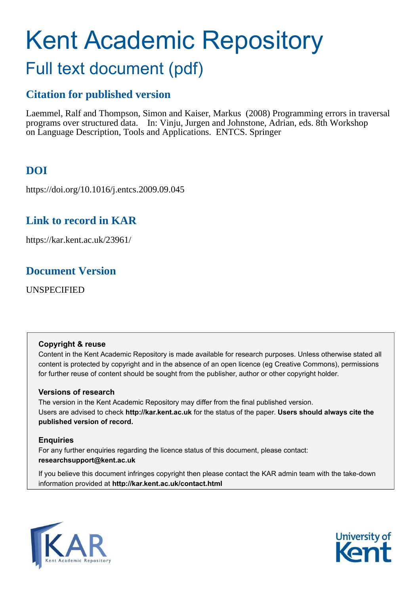# Kent Academic Repository Full text document (pdf)

# **Citation for published version**

Laemmel, Ralf and Thompson, Simon and Kaiser, Markus (2008) Programming errors in traversal programs over structured data. In: Vinju, Jurgen and Johnstone, Adrian, eds. 8th Workshop on Language Description, Tools and Applications. ENTCS. Springer

# **DOI**

https://doi.org/10.1016/j.entcs.2009.09.045

# **Link to record in KAR**

https://kar.kent.ac.uk/23961/

# **Document Version**

UNSPECIFIED

#### **Copyright & reuse**

Content in the Kent Academic Repository is made available for research purposes. Unless otherwise stated all content is protected by copyright and in the absence of an open licence (eg Creative Commons), permissions for further reuse of content should be sought from the publisher, author or other copyright holder.

#### **Versions of research**

The version in the Kent Academic Repository may differ from the final published version. Users are advised to check **http://kar.kent.ac.uk** for the status of the paper. **Users should always cite the published version of record.**

#### **Enquiries**

For any further enquiries regarding the licence status of this document, please contact: **researchsupport@kent.ac.uk**

If you believe this document infringes copyright then please contact the KAR admin team with the take-down information provided at **http://kar.kent.ac.uk/contact.html**



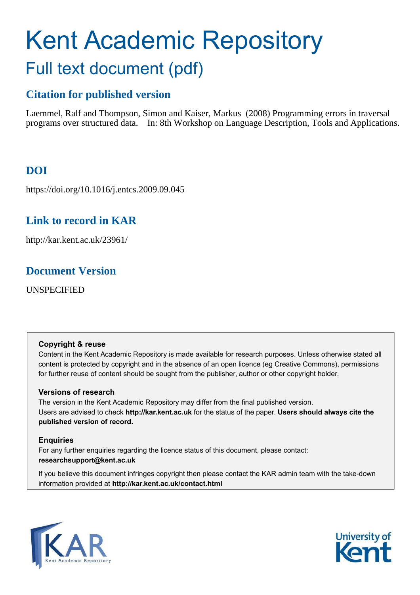# <span id="page-1-0"></span>Kent Academic Repository Full text document (pdf)

# **Citation for published version**

Laemmel, Ralf and Thompson, Simon and Kaiser, Markus (2008) Programming errors in traversal programs over structured data. In: 8th Workshop on Language Description, Tools and Applications.

# **DOI**

https://doi.org/10.1016/j.entcs.2009.09.045

# **Link to record in KAR**

http://kar.kent.ac.uk/23961/

# **Document Version**

UNSPECIFIED

#### **Copyright & reuse**

Content in the Kent Academic Repository is made available for research purposes. Unless otherwise stated all content is protected by copyright and in the absence of an open licence (eg Creative Commons), permissions for further reuse of content should be sought from the publisher, author or other copyright holder.

#### **Versions of research**

The version in the Kent Academic Repository may differ from the final published version. Users are advised to check **http://kar.kent.ac.uk** for the status of the paper. **Users should always cite the published version of record.**

#### **Enquiries**

For any further enquiries regarding the licence status of this document, please contact: **researchsupport@kent.ac.uk**

If you believe this document infringes copyright then please contact the KAR admin team with the take-down information provided at **http://kar.kent.ac.uk/contact.html**



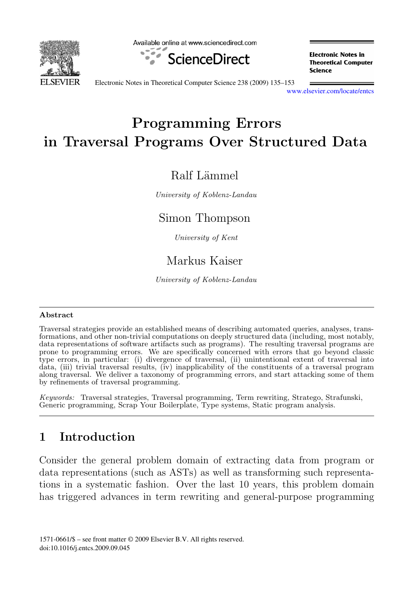<span id="page-2-0"></span>

Available online at www.sciencedirect.com



**Electronic Notes in Theoretical Computer** Science

Electronic Notes in Theoretical Computer Science 238 (2009) 135–153

[www.elsevier.com/locate/entcs](http://www.elsevier.com/locate/entcs)

# Programming Errors in Traversal Programs Over Structured Data

#### Ralf Lämmel

University of Koblenz-Landau

#### Simon Thompson

University of Kent

### Markus Kaiser

University of Koblenz-Landau

#### Abstract

Traversal strategies provide an established means of describing automated queries, analyses, transformations, and other non-trivial computations on deeply structured data (including, most notably, data representations of software artifacts such as programs). The resulting traversal programs are prone to programming errors. We are specifically concerned with errors that go beyond classic type errors, in particular: (i) divergence of traversal, (ii) unintentional extent of traversal into data, (iii) trivial traversal results, (iv) inapplicability of the constituents of a traversal program along traversal. We deliver a taxonomy of programming errors, and start attacking some of them by refinements of traversal programming.

Keywords: Traversal strategies, Traversal programming, Term rewriting, Stratego, Strafunski, Generic programming, Scrap Your Boilerplate, Type systems, Static program analysis.

### 1 Introduction

Consider the general problem domain of extracting data from program or data representations (such as ASTs) as well as transforming such representations in a systematic fashion. Over the last 10 years, this problem domain has triggered advances in term rewriting and general-purpose programming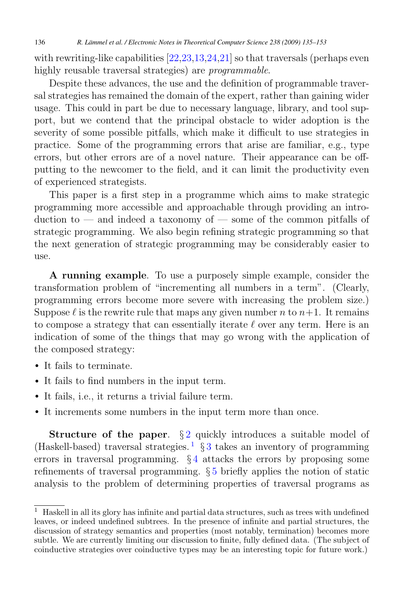<span id="page-3-0"></span>136 *R. Lämmel et al. / Electronic Notes in Theoretical Computer Science 238 (2009) 135–153*

with rewriting-like capabilities  $[22,23,13,24,21]$  so that traversals (perhaps even highly reusable traversal strategies) are *programmable*.

Despite these advances, the use and the definition of programmable traversal strategies has remained the domain of the expert, rather than gaining wider usage. This could in part be due to necessary language, library, and tool support, but we contend that the principal obstacle to wider adoption is the severity of some possible pitfalls, which make it difficult to use strategies in practice. Some of the programming errors that arise are familiar, e.g., type errors, but other errors are of a novel nature. Their appearance can be offputting to the newcomer to the field, and it can limit the productivity even of experienced strategists.

This paper is a first step in a programme which aims to make strategic programming more accessible and approachable through providing an introduction to — and indeed a taxonomy of — some of the common pitfalls of strategic programming. We also begin refining strategic programming so that the next generation of strategic programming may be considerably easier to use.

A running example. To use a purposely simple example, consider the transformation problem of "incrementing all numbers in a term". (Clearly, programming errors become more severe with increasing the problem size.) Suppose  $\ell$  is the rewrite rule that maps any given number n to  $n+1$ . It remains to compose a strategy that can essentially iterate  $\ell$  over any term. Here is an indication of some of the things that may go wrong with the application of the composed strategy:

- It fails to terminate.
- It fails to find numbers in the input term.
- It fails, i.e., it returns a trivial failure term.
- It increments some numbers in the input term more than once.

**Structure of the paper.**  $\S 2$  $\S 2$  quickly introduces a suitable model of (Haskell-based) traversal strategies.<sup>[1](#page-1-0)</sup> § 3 takes an inventory of programming errors in traversal programming. § [4](#page-10-0) attacks the errors by proposing some refinements of traversal programming. § [5](#page-14-0) briefly applies the notion of static analysis to the problem of determining properties of traversal programs as

 $<sup>1</sup>$  Haskell in all its glory has infinite and partial data structures, such as trees with undefined</sup> leaves, or indeed undefined subtrees. In the presence of infinite and partial structures, the discussion of strategy semantics and properties (most notably, termination) becomes more subtle. We are currently limiting our discussion to finite, fully defined data. (The subject of coinductive strategies over coinductive types may be an interesting topic for future work.)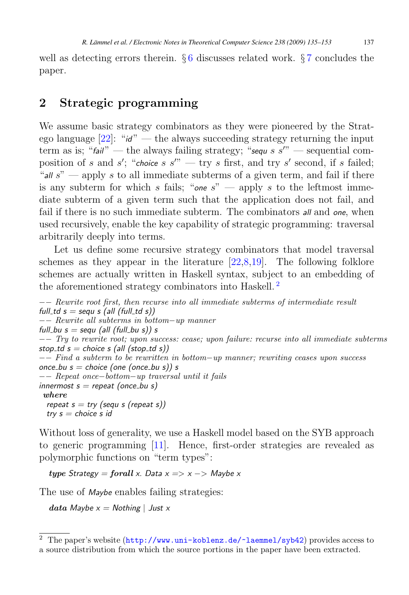<span id="page-4-0"></span>well as detecting errors therein.  $\S 6$  $\S 6$  discusses related work.  $\S 7$  $\S 7$  concludes the paper.

#### 2 Strategic programming

We assume basic strategy combinators as they were pioneered by the Stratego language  $[22]$ : "*id*" — the always succeeding strategy returning the input term as is; " $fail$ <sup>"</sup> — the always failing strategy; " $sequ s s''$ " — sequential composition of s and s'; "*choice* s  $s''$  — try s first, and try s' second, if s failed; "*all* s" — apply s to all immediate subterms of a given term, and fail if there is any subterm for which s fails; "*one*  $s$ " — apply s to the leftmost immediate subterm of a given term such that the application does not fail, and fail if there is no such immediate subterm. The combinators *all* and *one*, when used recursively, enable the key capability of strategic programming: traversal arbitrarily deeply into terms.

Let us define some recursive strategy combinators that model traversal schemes as they appear in the literature [\[22,](#page-18-0)[8,](#page-17-0)[19\]](#page-18-0). The following folklore schemes are actually written in Haskell syntax, subject to an embedding of the aforementioned strategy combinators into Haskell.<sup>[2](#page-2-0)</sup>

```
−− Rewrite root first, then recurse into all immediate subterms of intermediate result
full\_td s = sequ s (all (full\_td s))−− Rewrite all subterms in bottom−up manner
full_bu s = sequ (all (full_bu s)) s
−− Try to rewrite root; upon success: cease; upon failure: recurse into all immediate subterms
stop\_td s = choice s (all (stop\_td s))−− Find a subterm to be rewritten in bottom−up manner; rewriting ceases upon success
once bu s = choice (one (once bu s)) s
−− Repeat once−bottom−up traversal until it fails
innermost s = repeat (once_b u s)where
 repeat s = try (sequ s (repeat s))
 try s = choice s id
```
Without loss of generality, we use a Haskell model based on the SYB approach to generic programming [\[11\]](#page-17-0). Hence, first-order strategies are revealed as polymorphic functions on "term types":

 $type$  *Strategy = forall x. Data*  $x \Rightarrow x \Rightarrow$  *Maybe x* 

The use of *Maybe* enables failing strategies:

data *Maybe x = Nothing* | *Just x*

<sup>2</sup> The paper's website (<http://www.uni-koblenz.de/~laemmel/syb42>) provides access to a source distribution from which the source portions in the paper have been extracted.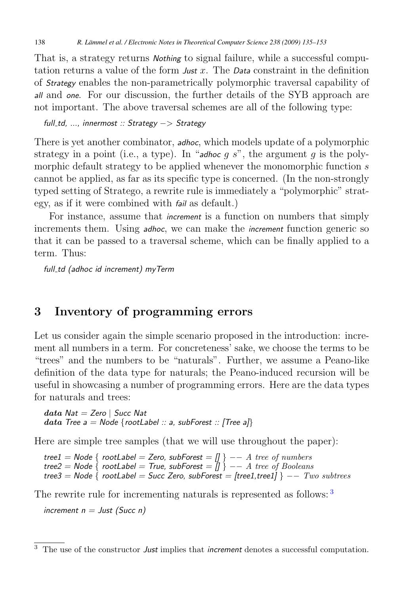<span id="page-5-0"></span>That is, a strategy returns *Nothing* to signal failure, while a successful computation returns a value of the form *Just* x. The *Data* constraint in the definition of *Strategy* enables the non-parametrically polymorphic traversal capability of *all* and *one*. For our discussion, the further details of the SYB approach are not important. The above traversal schemes are all of the following type:

*full td, ..., innermost :: Strategy* −> *Strategy*

There is yet another combinator, *adhoc*, which models update of a polymorphic strategy in a point (i.e., a type). In "*adhoc*  $q s$ ", the argument  $q$  is the polymorphic default strategy to be applied whenever the monomorphic function s cannot be applied, as far as its specific type is concerned. (In the non-strongly typed setting of Stratego, a rewrite rule is immediately a "polymorphic" strategy, as if it were combined with *fail* as default.)

For instance, assume that *increment* is a function on numbers that simply increments them. Using *adhoc*, we can make the *increment* function generic so that it can be passed to a traversal scheme, which can be finally applied to a term. Thus:

*full td (adhoc id increment) myTerm*

#### 3 Inventory of programming errors

Let us consider again the simple scenario proposed in the introduction: increment all numbers in a term. For concreteness' sake, we choose the terms to be "trees" and the numbers to be "naturals". Further, we assume a Peano-like definition of the data type for naturals; the Peano-induced recursion will be useful in showcasing a number of programming errors. Here are the data types for naturals and trees:

data *Nat = Zero* | *Succ Nat* data *Tree a = Node* {*rootLabel :: a, subForest :: [Tree a]*}

Here are simple tree samples (that we will use throughout the paper):

*tree1 = Node* { *rootLabel = Zero, subForest = []* } −− A tree of numbers *tree2 = Node* { *rootLabel = True, subForest = []* } −− A tree of Booleans *tree3 = Node* { *rootLabel = Succ Zero, subForest = [tree1,tree1]* } −− Two subtrees

The rewrite rule for incrementing naturals is represented as follows: <sup>[3](#page-3-0)</sup>

*increment n = Just (Succ n)*

<sup>3</sup> The use of the constructor *Just* implies that *increment* denotes a successful computation.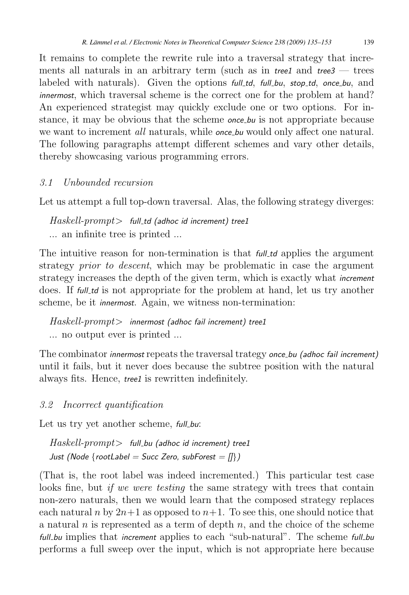<span id="page-6-0"></span>It remains to complete the rewrite rule into a traversal strategy that increments all naturals in an arbitrary term (such as in *tree1* and *tree3* — trees labeled with naturals). Given the options *full td*, *full bu*, *stop td*, *once bu*, and *innermost*, which traversal scheme is the correct one for the problem at hand? An experienced strategist may quickly exclude one or two options. For instance, it may be obvious that the scheme *once bu* is not appropriate because we want to increment *all* naturals, while *once bu* would only affect one natural. The following paragraphs attempt different schemes and vary other details, thereby showcasing various programming errors.

#### 3.1 Unbounded recursion

Let us attempt a full top-down traversal. Alas, the following strategy diverges:

Haskell-prompt> *full td (adhoc id increment) tree1* ... an infinite tree is printed ...

The intuitive reason for non-termination is that *full td* applies the argument strategy *prior to descent*, which may be problematic in case the argument strategy increases the depth of the given term, which is exactly what *increment* does. If *full* to is not appropriate for the problem at hand, let us try another scheme, be it *innermost*. Again, we witness non-termination:

Haskell-prompt> *innermost (adhoc fail increment) tree1* ... no output ever is printed ...

The combinator *innermost* repeats the traversal trategy *once bu (adhoc fail increment)* until it fails, but it never does because the subtree position with the natural always fits. Hence, *tree1* is rewritten indefinitely.

#### 3.2 Incorrect quantification

Let us try yet another scheme, *full-bu*:

Haskell-prompt> *full bu (adhoc id increment) tree1 Just (Node* {*rootLabel = Succ Zero, subForest = []*}*)*

(That is, the root label was indeed incremented.) This particular test case looks fine, but *if we were testing* the same strategy with trees that contain non-zero naturals, then we would learn that the composed strategy replaces each natural n by  $2n+1$  as opposed to  $n+1$ . To see this, one should notice that a natural n is represented as a term of depth  $n$ , and the choice of the scheme *full\_bu* implies that *increment* applies to each "sub-natural". The scheme *full\_bu* performs a full sweep over the input, which is not appropriate here because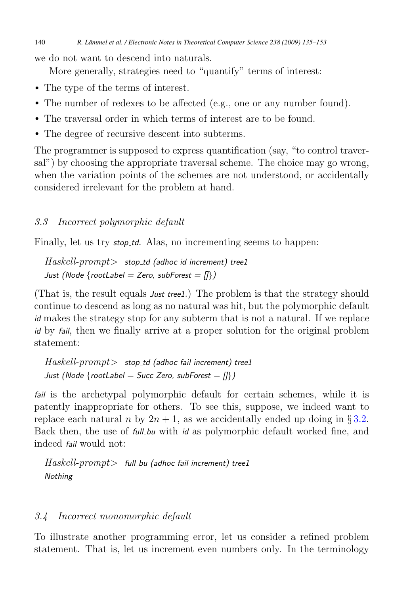<span id="page-7-0"></span>we do not want to descend into naturals.

More generally, strategies need to "quantify" terms of interest:

- The type of the terms of interest.
- The number of redexes to be affected (e.g., one or any number found).
- The traversal order in which terms of interest are to be found.
- The degree of recursive descent into subterms.

The programmer is supposed to express quantification (say, "to control traversal") by choosing the appropriate traversal scheme. The choice may go wrong, when the variation points of the schemes are not understood, or accidentally considered irrelevant for the problem at hand.

#### 3.3 Incorrect polymorphic default

Finally, let us try *stop\_td*. Alas, no incrementing seems to happen:

Haskell-prompt> *stop td (adhoc id increment) tree1 Just (Node* {*rootLabel = Zero, subForest = []*}*)*

(That is, the result equals *Just tree1*.) The problem is that the strategy should continue to descend as long as no natural was hit, but the polymorphic default *id* makes the strategy stop for any subterm that is not a natural. If we replace *id* by *fail*, then we finally arrive at a proper solution for the original problem statement:

```
Haskell-prompt> stop td (adhoc fail increment) tree1
Just (Node {rootLabel = Succ Zero, subForest = []})
```
*fail* is the archetypal polymorphic default for certain schemes, while it is patently inappropriate for others. To see this, suppose, we indeed want to replace each natural n by  $2n + 1$ , as we accidentally ended up doing in § [3.2.](#page-4-0) Back then, the use of *full bu* with *id* as polymorphic default worked fine, and indeed *fail* would not:

Haskell-prompt> *full bu (adhoc fail increment) tree1 Nothing*

#### 3.4 Incorrect monomorphic default

To illustrate another programming error, let us consider a refined problem statement. That is, let us increment even numbers only. In the terminology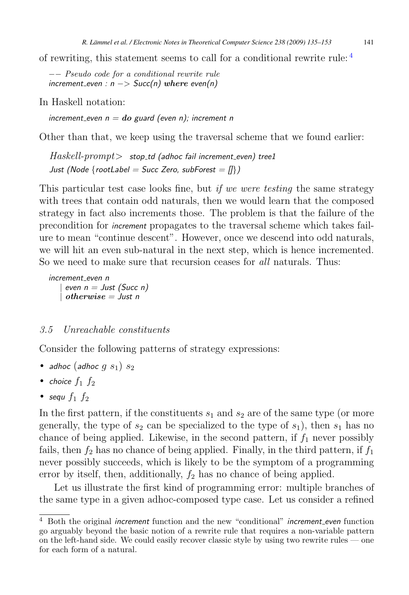of rewriting, this statement seems to call for a conditional rewrite rule:  $4$ 

−− Pseudo code for a conditional rewrite rule *increment even : n* −> *Succ(n)* where *even(n)*

In Haskell notation:

*increment even n =* do *guard (even n); increment n*

Other than that, we keep using the traversal scheme that we found earlier:

Haskell-prompt> *stop td (adhoc fail increment even) tree1 Just (Node* {*rootLabel = Succ Zero, subForest = []*}*)*

This particular test case looks fine, but *if we were testing* the same strategy with trees that contain odd naturals, then we would learn that the composed strategy in fact also increments those. The problem is that the failure of the precondition for *increment* propagates to the traversal scheme which takes failure to mean "continue descent". However, once we descend into odd naturals, we will hit an even sub-natural in the next step, which is hence incremented. So we need to make sure that recursion ceases for *all* naturals. Thus:

*increment even n* | *even n = Just (Succ n)* | otherwise *= Just n*

#### 3.5 Unreachable constituents

Consider the following patterns of strategy expressions:

- *adhoc* (*adhoc*  $g(s_1)$   $s_2$
- *choice*  $f_1$   $f_2$
- *sequ*  $f_1$   $f_2$

In the first pattern, if the constituents  $s_1$  and  $s_2$  are of the same type (or more generally, the type of  $s_2$  can be specialized to the type of  $s_1$ ), then  $s_1$  has no chance of being applied. Likewise, in the second pattern, if  $f_1$  never possibly fails, then  $f_2$  has no chance of being applied. Finally, in the third pattern, if  $f_1$ never possibly succeeds, which is likely to be the symptom of a programming error by itself, then, additionally,  $f_2$  has no chance of being applied.

Let us illustrate the first kind of programming error: multiple branches of the same type in a given adhoc-composed type case. Let us consider a refined

<sup>4</sup> Both the original *increment* function and the new "conditional" *increment even* function go arguably beyond the basic notion of a rewrite rule that requires a non-variable pattern on the left-hand side. We could easily recover classic style by using two rewrite rules — one for each form of a natural.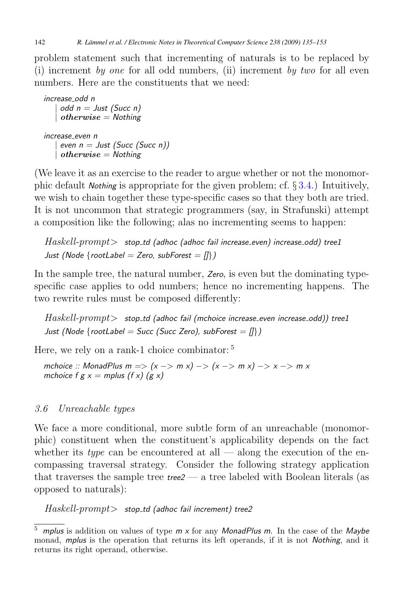<span id="page-9-0"></span>problem statement such that incrementing of naturals is to be replaced by (i) increment by one for all odd numbers, (ii) increment by two for all even numbers. Here are the constituents that we need:

```
increase odd n
    | odd n = Just (Succ n)
    | otherwise = Nothing
increase even n
   | even n = Just (Succ (Succ n))
   | otherwise = Nothing
```
(We leave it as an exercise to the reader to argue whether or not the monomorphic default *Nothing* is appropriate for the given problem; cf. § [3.4.](#page-5-0)) Intuitively, we wish to chain together these type-specific cases so that they both are tried. It is not uncommon that strategic programmers (say, in Strafunski) attempt a composition like the following; alas no incrementing seems to happen:

Haskell-prompt> *stop td (adhoc (adhoc fail increase even) increase odd) tree1 Just (Node* {*rootLabel = Zero, subForest = []*}*)*

In the sample tree, the natural number, *Zero*, is even but the dominating typespecific case applies to odd numbers; hence no incrementing happens. The two rewrite rules must be composed differently:

Haskell-prompt> *stop td (adhoc fail (mchoice increase even increase odd)) tree1 Just (Node* {*rootLabel = Succ (Succ Zero), subForest = []*}*)*

Here, we rely on a rank-1 choice combinator:  $5$ 

*mchoice :: MonadPlus m =*> *(x* −> *m x)* −> *(x* −> *m x)* −> *x* −> *m x mchoice f g x = mplus (f x) (g x)* 

#### 3.6 Unreachable types

We face a more conditional, more subtle form of an unreachable (monomorphic) constituent when the constituent's applicability depends on the fact whether its *type* can be encountered at all — along the execution of the encompassing traversal strategy. Consider the following strategy application that traverses the sample tree *tree2* — a tree labeled with Boolean literals (as opposed to naturals):

Haskell-prompt> *stop td (adhoc fail increment) tree2*

<sup>5</sup> *mplus* is addition on values of type *m x* for any *MonadPlus m*. In the case of the *Maybe* monad, *mplus* is the operation that returns its left operands, if it is not *Nothing*, and it returns its right operand, otherwise.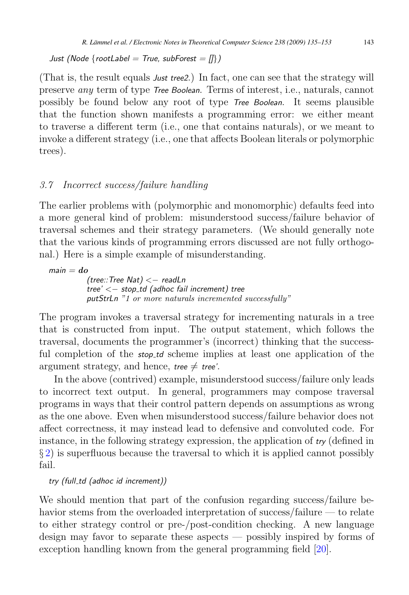<span id="page-10-0"></span>*Just (Node* {*rootLabel = True, subForest = []*}*)*

(That is, the result equals *Just tree2*.) In fact, one can see that the strategy will preserve any term of type *Tree Boolean*. Terms of interest, i.e., naturals, cannot possibly be found below any root of type *Tree Boolean*. It seems plausible that the function shown manifests a programming error: we either meant to traverse a different term (i.e., one that contains naturals), or we meant to invoke a different strategy (i.e., one that affects Boolean literals or polymorphic trees).

#### 3.7 Incorrect success/failure handling

The earlier problems with (polymorphic and monomorphic) defaults feed into a more general kind of problem: misunderstood success/failure behavior of traversal schemes and their strategy parameters. (We should generally note that the various kinds of programming errors discussed are not fully orthogonal.) Here is a simple example of misunderstanding.

 $main = do$ *(tree::Tree Nat)* <− *readLn tree'* <− *stop td (adhoc fail increment) tree putStrLn* "1 or more naturals incremented successfully"

The program invokes a traversal strategy for incrementing naturals in a tree that is constructed from input. The output statement, which follows the traversal, documents the programmer's (incorrect) thinking that the successful completion of the *stop td* scheme implies at least one application of the argument strategy, and hence, *tree*  $\neq$  *tree'*.

In the above (contrived) example, misunderstood success/failure only leads to incorrect text output. In general, programmers may compose traversal programs in ways that their control pattern depends on assumptions as wrong as the one above. Even when misunderstood success/failure behavior does not affect correctness, it may instead lead to defensive and convoluted code. For instance, in the following strategy expression, the application of *try* (defined in § [2\)](#page-2-0) is superfluous because the traversal to which it is applied cannot possibly fail.

*try (full td (adhoc id increment))*

We should mention that part of the confusion regarding success/failure behavior stems from the overloaded interpretation of success/failure — to relate to either strategy control or pre-/post-condition checking. A new language design may favor to separate these aspects — possibly inspired by forms of exception handling known from the general programming field [\[20\]](#page-18-0).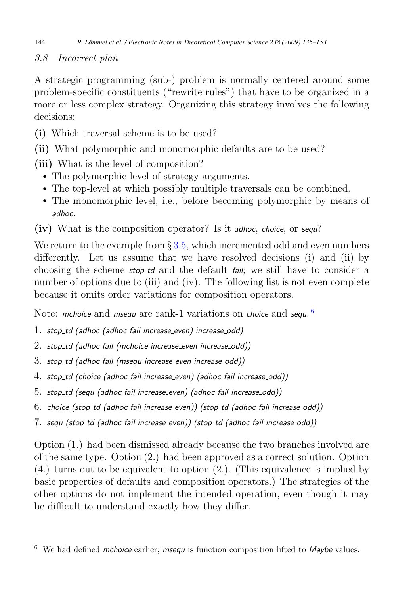<span id="page-11-0"></span>144 *R. Lämmel et al. / Electronic Notes in Theoretical Computer Science 238 (2009) 135–153*

3.8 Incorrect plan

A strategic programming (sub-) problem is normally centered around some problem-specific constituents ("rewrite rules") that have to be organized in a more or less complex strategy. Organizing this strategy involves the following decisions:

- (i) Which traversal scheme is to be used?
- (ii) What polymorphic and monomorphic defaults are to be used?

(iii) What is the level of composition?

- The polymorphic level of strategy arguments.
- The top-level at which possibly multiple traversals can be combined.
- The monomorphic level, i.e., before becoming polymorphic by means of *adhoc*.

(iv) What is the composition operator? Is it *adhoc*, *choice*, or *sequ*?

We return to the example from  $\S 3.5$ , which incremented odd and even numbers differently. Let us assume that we have resolved decisions (i) and (ii) by choosing the scheme *stop td* and the default *fail*; we still have to consider a number of options due to (iii) and (iv). The following list is not even complete because it omits order variations for composition operators.

Note: *mchoice* and *msequ* are rank-1 variations on *choice* and *sequ*. [6](#page-9-0)

- 1. *stop td (adhoc (adhoc fail increase even) increase odd)*
- 2. *stop td (adhoc fail (mchoice increase even increase odd))*
- 3. *stop td (adhoc fail (msequ increase even increase odd))*
- 4. *stop td (choice (adhoc fail increase even) (adhoc fail increase odd))*
- 5. *stop td (sequ (adhoc fail increase even) (adhoc fail increase odd))*
- 6. *choice (stop td (adhoc fail increase even)) (stop td (adhoc fail increase odd))*
- 7. *sequ (stop td (adhoc fail increase even)) (stop td (adhoc fail increase odd))*

Option (1.) had been dismissed already because the two branches involved are of the same type. Option (2.) had been approved as a correct solution. Option (4.) turns out to be equivalent to option (2.). (This equivalence is implied by basic properties of defaults and composition operators.) The strategies of the other options do not implement the intended operation, even though it may be difficult to understand exactly how they differ.

<sup>6</sup> We had defined *mchoice* earlier; *msequ* is function composition lifted to *Maybe* values.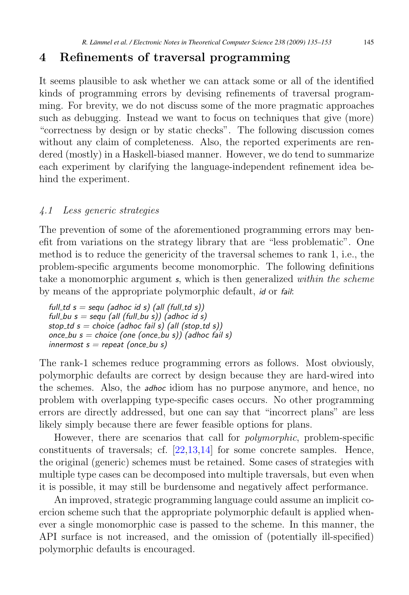#### <span id="page-12-0"></span>4 Refinements of traversal programming

It seems plausible to ask whether we can attack some or all of the identified kinds of programming errors by devising refinements of traversal programming. For brevity, we do not discuss some of the more pragmatic approaches such as debugging. Instead we want to focus on techniques that give (more) "correctness by design or by static checks". The following discussion comes without any claim of completeness. Also, the reported experiments are rendered (mostly) in a Haskell-biased manner. However, we do tend to summarize each experiment by clarifying the language-independent refinement idea behind the experiment.

#### 4.1 Less generic strategies

The prevention of some of the aforementioned programming errors may benefit from variations on the strategy library that are "less problematic". One method is to reduce the genericity of the traversal schemes to rank 1, i.e., the problem-specific arguments become monomorphic. The following definitions take a monomorphic argument *s*, which is then generalized within the scheme by means of the appropriate polymorphic default, *id* or *fail*:

 $full\_td s = sequ$  (adhoc id s) (all (full\_td s))  $full_bu$  s = sequ (all (full  $b\overline{u}$  s)) (adhoc id s)  $stop\_td s = choice (adhoc fail s) (all (stop\_td s))$ *once bu s = choice (one (once bu s)) (adhoc fail s) innermost s = repeat (once bu s)*

The rank-1 schemes reduce programming errors as follows. Most obviously, polymorphic defaults are correct by design because they are hard-wired into the schemes. Also, the *adhoc* idiom has no purpose anymore, and hence, no problem with overlapping type-specific cases occurs. No other programming errors are directly addressed, but one can say that "incorrect plans" are less likely simply because there are fewer feasible options for plans.

However, there are scenarios that call for polymorphic, problem-specific constituents of traversals; cf. [\[22,13,14\]](#page-18-0) for some concrete samples. Hence, the original (generic) schemes must be retained. Some cases of strategies with multiple type cases can be decomposed into multiple traversals, but even when it is possible, it may still be burdensome and negatively affect performance.

An improved, strategic programming language could assume an implicit coercion scheme such that the appropriate polymorphic default is applied whenever a single monomorphic case is passed to the scheme. In this manner, the API surface is not increased, and the omission of (potentially ill-specified) polymorphic defaults is encouraged.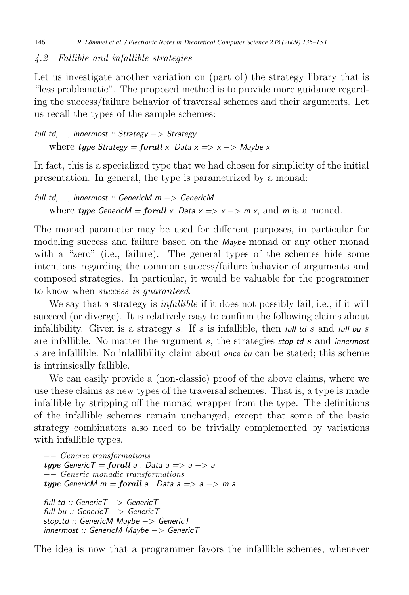#### <span id="page-13-0"></span>4.2 Fallible and infallible strategies

Let us investigate another variation on (part of) the strategy library that is "less problematic". The proposed method is to provide more guidance regarding the success/failure behavior of traversal schemes and their arguments. Let us recall the types of the sample schemes:

```
full td, ..., innermost :: Strategy −> Strategy
    where type Strategy = forall x. Data x => x -> Maybe x
```
In fact, this is a specialized type that we had chosen for simplicity of the initial presentation. In general, the type is parametrized by a monad:

```
full td, ..., innermost :: GenericM m −> GenericM
    where type GenericM = forall x. Data x \Rightarrow x \Rightarrow m x, and m is a monad.
```
The monad parameter may be used for different purposes, in particular for modeling success and failure based on the *Maybe* monad or any other monad with a "zero" (i.e., failure). The general types of the schemes hide some intentions regarding the common success/failure behavior of arguments and composed strategies. In particular, it would be valuable for the programmer to know when success is guaranteed.

We say that a strategy is *infallible* if it does not possibly fail, i.e., if it will succeed (or diverge). It is relatively easy to confirm the following claims about infallibility. Given is a strategy s. If s is infallible, then  $f(x) = f(x) - g(x)$  in  $f(x) = f(x) - g(x)$ are infallible. No matter the argument s, the strategies *stop td* s and *innermost* s are infallible. No infallibility claim about *once bu* can be stated; this scheme is intrinsically fallible.

We can easily provide a (non-classic) proof of the above claims, where we use these claims as new types of the traversal schemes. That is, a type is made infallible by stripping off the monad wrapper from the type. The definitions of the infallible schemes remain unchanged, except that some of the basic strategy combinators also need to be trivially complemented by variations with infallible types.

```
−− Generic transformations
type GenericT = forall a . Data a => a −> a
−− Generic monadic transformations
type GenericM m = forall a . Data a => a −> m a
```
*full td :: GenericT* −> *GenericT full bu :: GenericT* −> *GenericT stop td :: GenericM Maybe* −> *GenericT innermost :: GenericM Maybe* −> *GenericT*

The idea is now that a programmer favors the infallible schemes, whenever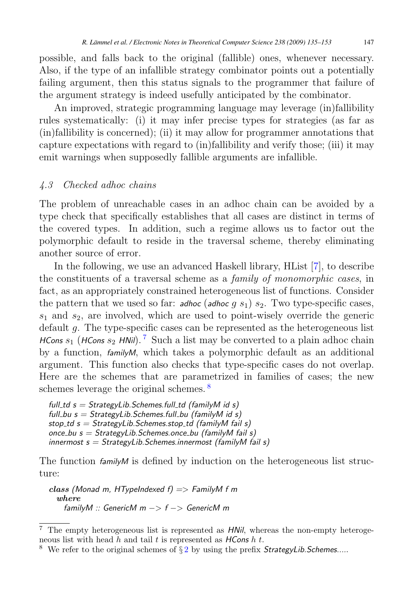<span id="page-14-0"></span>possible, and falls back to the original (fallible) ones, whenever necessary. Also, if the type of an infallible strategy combinator points out a potentially failing argument, then this status signals to the programmer that failure of the argument strategy is indeed usefully anticipated by the combinator.

An improved, strategic programming language may leverage (in)fallibility rules systematically: (i) it may infer precise types for strategies (as far as (in)fallibility is concerned); (ii) it may allow for programmer annotations that capture expectations with regard to (in)fallibility and verify those; (iii) it may emit warnings when supposedly fallible arguments are infallible.

#### 4.3 Checked adhoc chains

The problem of unreachable cases in an adhoc chain can be avoided by a type check that specifically establishes that all cases are distinct in terms of the covered types. In addition, such a regime allows us to factor out the polymorphic default to reside in the traversal scheme, thereby eliminating another source of error.

In the following, we use an advanced Haskell library, HList [\[7\]](#page-17-0), to describe the constituents of a traversal scheme as a family of monomorphic cases, in fact, as an appropriately constrained heterogeneous list of functions. Consider the pattern that we used so far: **adhoc** (**adhoc** g  $s_1$ )  $s_2$ . Two type-specific cases,  $s_1$  and  $s_2$ , are involved, which are used to point-wisely override the generic default g. The type-specific cases can be represented as the heterogeneous list *HCons*  $s_1$  (*HCons*  $s_2$  *HNil*).<sup>[7](#page-12-0)</sup> Such a list may be converted to a plain adhoc chain by a function, *familyM*, which takes a polymorphic default as an additional argument. This function also checks that type-specific cases do not overlap. Here are the schemes that are parametrized in families of cases; the new schemes leverage the original schemes.<sup>[8](#page-12-0)</sup>

```
full td s = StrategyLib.Schemes.full td (familyM id s)
full bu s = StrategyLib.Schemes.full bu (familyM id s)
stop td s = StrategyLib.Schemes.stop td (familyM fail s)
once bu s = StrategyLib.Schemes.once bu (familyM fail s)
innermost s = StrategyLib.Schemes.innermost (familyM fail s)
```
The function  $f_{amily}$  is defined by induction on the heterogeneous list structure:

class *(Monad m, HTypeIndexed f) =*> *FamilyM f m* where *familyM :: GenericM m* −> *f* −> *GenericM m*

<sup>7</sup> The empty heterogeneous list is represented as *HNil*, whereas the non-empty heterogeneous list with head h and tail t is represented as *HCons* h t.

<sup>8</sup> We refer to the original schemes of § [2](#page-2-0) by using the prefix *StrategyLib.Schemes....*.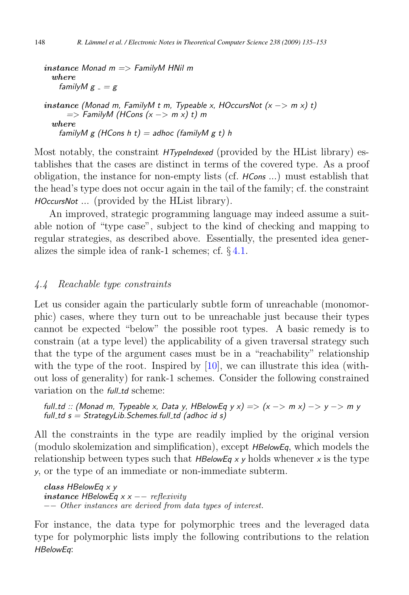```
instance Monad m => FamilyM HNil m
 where
   familyM g = ginstance (Monad m, FamilyM t m, Typeable x, HOccursNot (x −> m x) t)
     => FamilyM (HCons (x −> m x) t) m
 where
   familyM g (HCons h t) = adhoc (familyM g t) h
```
Most notably, the constraint *HTypeIndexed* (provided by the HList library) establishes that the cases are distinct in terms of the covered type. As a proof obligation, the instance for non-empty lists (cf. *HCons* ...) must establish that the head's type does not occur again in the tail of the family; cf. the constraint *HOccursNot* ... (provided by the HList library).

An improved, strategic programming language may indeed assume a suitable notion of "type case", subject to the kind of checking and mapping to regular strategies, as described above. Essentially, the presented idea generalizes the simple idea of rank-1 schemes; cf. § [4.1.](#page-10-0)

#### 4.4 Reachable type constraints

Let us consider again the particularly subtle form of unreachable (monomorphic) cases, where they turn out to be unreachable just because their types cannot be expected "below" the possible root types. A basic remedy is to constrain (at a type level) the applicability of a given traversal strategy such that the type of the argument cases must be in a "reachability" relationship with the type of the root. Inspired by [\[10\]](#page-17-0), we can illustrate this idea (without loss of generality) for rank-1 schemes. Consider the following constrained variation on the *full-td* scheme:

```
full td :: (Monad m, Typeable x, Data y, HBelowEq y x) => (x −> m x) −> y −> m y
full td s = StrategyLib.Schemes.full td (adhoc id s)
```
All the constraints in the type are readily implied by the original version (modulo skolemization and simplification), except *HBelowEq*, which models the relationship between types such that  $HBelowEq \times \gamma$  holds whenever  $\chi$  is the type *y*, or the type of an immediate or non-immediate subterm.

class *HBelowEq x y* instance *HBelowEq x x* −− reflexivity −− Other instances are derived from data types of interest.

For instance, the data type for polymorphic trees and the leveraged data type for polymorphic lists imply the following contributions to the relation *HBelowEq*: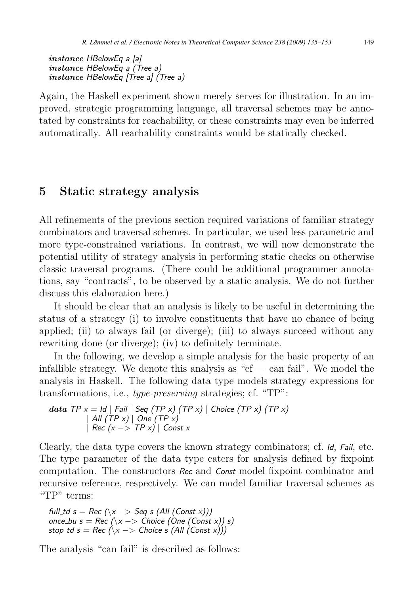```
instance HBelowEq a [a]
instance HBelowEq a (Tree a)
instance HBelowEq [Tree a] (Tree a)
```
Again, the Haskell experiment shown merely serves for illustration. In an improved, strategic programming language, all traversal schemes may be annotated by constraints for reachability, or these constraints may even be inferred automatically. All reachability constraints would be statically checked.

#### 5 Static strategy analysis

All refinements of the previous section required variations of familiar strategy combinators and traversal schemes. In particular, we used less parametric and more type-constrained variations. In contrast, we will now demonstrate the potential utility of strategy analysis in performing static checks on otherwise classic traversal programs. (There could be additional programmer annotations, say "contracts", to be observed by a static analysis. We do not further discuss this elaboration here.)

It should be clear that an analysis is likely to be useful in determining the status of a strategy (i) to involve constituents that have no chance of being applied; (ii) to always fail (or diverge); (iii) to always succeed without any rewriting done (or diverge); (iv) to definitely terminate.

In the following, we develop a simple analysis for the basic property of an infallible strategy. We denote this analysis as " $cf$  — can fail". We model the analysis in Haskell. The following data type models strategy expressions for transformations, i.e., type-preserving strategies; cf. "TP":

$$
data TP x = Id | Fall | Seq (TP x) (TP x) | Choice (TP x) (TP x) | All (TP x) | One (TP x) | Rec (x -> TP x) | Const x
$$

Clearly, the data type covers the known strategy combinators; cf. *Id*, *Fail*, etc. The type parameter of the data type caters for analysis defined by fixpoint computation. The constructors *Rec* and *Const* model fixpoint combinator and recursive reference, respectively. We can model familiar traversal schemes as "TP" terms:

```
full_td s = Rec (\sqrt{x} -> Seq s (All (Const x)))once_bu s = Rec (\lambda x \rightarrow Choice (One (Const x)) s)
stop_td s = Rec (\lambda x \rightarrow Choice s (All (Const x))
```
The analysis "can fail" is described as follows: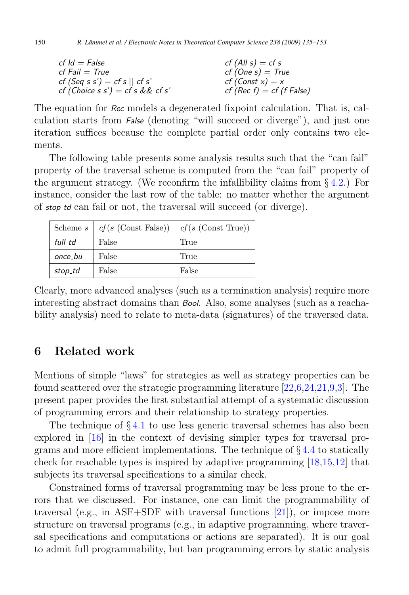<span id="page-17-0"></span>

| $cf$ $Id = False$                | $cf$ (All $s$ ) = cf s      |
|----------------------------------|-----------------------------|
| $cf$ Fail $=$ True               | $cf$ (One s) = True         |
| $cf$ (Seq s s') = cf s    cf s'  | $cf$ (Const $x$ ) = x       |
| cf (Choice s s') = cf s && cf s' | $cf (Rec f) = cf (f False)$ |

The equation for *Rec* models a degenerated fixpoint calculation. That is, calculation starts from *False* (denoting "will succeed or diverge"), and just one iteration suffices because the complete partial order only contains two elements.

The following table presents some analysis results such that the "can fail" property of the traversal scheme is computed from the "can fail" property of the argument strategy. (We reconfirm the infallibility claims from  $\S 4.2$ .) For instance, consider the last row of the table: no matter whether the argument of *stop td* can fail or not, the traversal will succeed (or diverge).

| Scheme s | $cf(s$ (Const False)) | $cf(s$ (Const True)) |
|----------|-----------------------|----------------------|
| full td  | False                 | True                 |
| once_bu  | False                 | True                 |
| stop_td  | False                 | False                |

Clearly, more advanced analyses (such as a termination analysis) require more interesting abstract domains than *Bool*. Also, some analyses (such as a reachability analysis) need to relate to meta-data (signatures) of the traversed data.

#### 6 Related work

Mentions of simple "laws" for strategies as well as strategy properties can be found scattered over the strategic programming literature [\[22,](#page-18-0)6[,24,21,](#page-18-0)9,3]. The present paper provides the first substantial attempt of a systematic discussion of programming errors and their relationship to strategy properties.

The technique of  $\S 4.1$  $\S 4.1$  to use less generic traversal schemes has also been explored in [\[16\]](#page-18-0) in the context of devising simpler types for traversal programs and more efficient implementations. The technique of § [4.4](#page-13-0) to statically check for reachable types is inspired by adaptive programming [\[18,15,12\]](#page-18-0) that subjects its traversal specifications to a similar check.

Constrained forms of traversal programming may be less prone to the errors that we discussed. For instance, one can limit the programmability of traversal (e.g., in ASF+SDF with traversal functions [\[21\]](#page-18-0)), or impose more structure on traversal programs (e.g., in adaptive programming, where traversal specifications and computations or actions are separated). It is our goal to admit full programmability, but ban programming errors by static analysis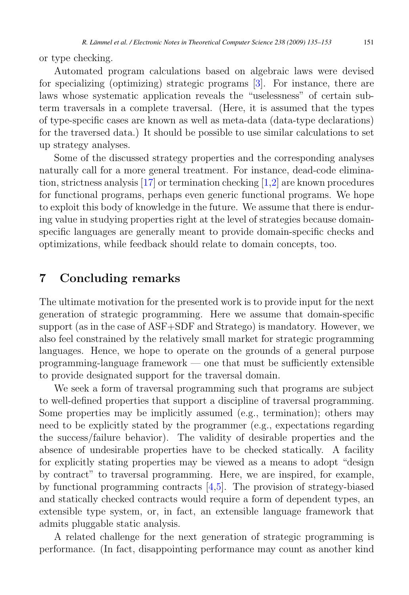<span id="page-18-0"></span>or type checking.

Automated program calculations based on algebraic laws were devised for specializing (optimizing) strategic programs [\[3\]](#page-17-0). For instance, there are laws whose systematic application reveals the "uselessness" of certain subterm traversals in a complete traversal. (Here, it is assumed that the types of type-specific cases are known as well as meta-data (data-type declarations) for the traversed data.) It should be possible to use similar calculations to set up strategy analyses.

Some of the discussed strategy properties and the corresponding analyses naturally call for a more general treatment. For instance, dead-code elimination, strictness analysis [17] or termination checking [\[1,2\]](#page-17-0) are known procedures for functional programs, perhaps even generic functional programs. We hope to exploit this body of knowledge in the future. We assume that there is enduring value in studying properties right at the level of strategies because domainspecific languages are generally meant to provide domain-specific checks and optimizations, while feedback should relate to domain concepts, too.

#### 7 Concluding remarks

The ultimate motivation for the presented work is to provide input for the next generation of strategic programming. Here we assume that domain-specific support (as in the case of ASF+SDF and Stratego) is mandatory. However, we also feel constrained by the relatively small market for strategic programming languages. Hence, we hope to operate on the grounds of a general purpose programming-language framework — one that must be sufficiently extensible to provide designated support for the traversal domain.

We seek a form of traversal programming such that programs are subject to well-defined properties that support a discipline of traversal programming. Some properties may be implicitly assumed (e.g., termination); others may need to be explicitly stated by the programmer (e.g., expectations regarding the success/failure behavior). The validity of desirable properties and the absence of undesirable properties have to be checked statically. A facility for explicitly stating properties may be viewed as a means to adopt "design by contract" to traversal programming. Here, we are inspired, for example, by functional programming contracts [\[4,5\]](#page-17-0). The provision of strategy-biased and statically checked contracts would require a form of dependent types, an extensible type system, or, in fact, an extensible language framework that admits pluggable static analysis.

A related challenge for the next generation of strategic programming is performance. (In fact, disappointing performance may count as another kind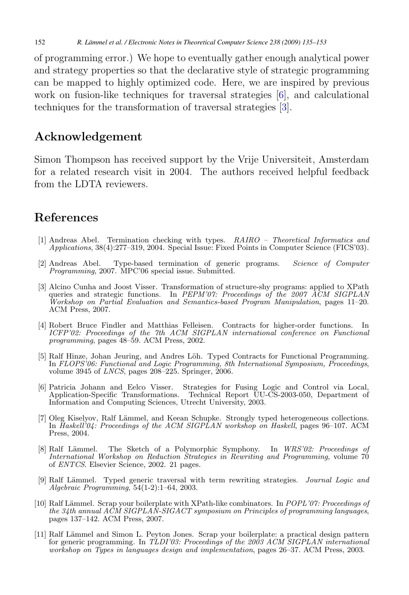of programming error.) We hope to eventually gather enough analytical power and strategy properties so that the declarative style of strategic programming can be mapped to highly optimized code. Here, we are inspired by previous work on fusion-like techniques for traversal strategies [\[6\]](#page-17-0), and calculational techniques for the transformation of traversal strategies [\[3\]](#page-17-0).

#### Acknowledgement

Simon Thompson has received support by the Vrije Universiteit, Amsterdam for a related research visit in 2004. The authors received helpful feedback from the LDTA reviewers.

#### References

- [1] Andreas Abel. Termination checking with types. RAIRO Theoretical Informatics and Applications, 38(4):277–319, 2004. Special Issue: Fixed Points in Computer Science (FICS'03).
- [2] Andreas Abel. Type-based termination of generic programs. Science of Computer Programming, 2007. MPC'06 special issue. Submitted.
- [3] Alcino Cunha and Joost Visser. Transformation of structure-shy programs: applied to XPath queries and strategic functions. In PEPM'07: Proceedings of the 2007  $\tilde{A}$ CM SIGPLAN Workshop on Partial Evaluation and Semantics-based Program Manipulation, pages 11–20. ACM Press, 2007.
- [4] Robert Bruce Findler and Matthias Felleisen. Contracts for higher-order functions. In ICFP'02: Proceedings of the 7th ACM SIGPLAN international conference on Functional programming, pages 48–59. ACM Press, 2002.
- [5] Ralf Hinze, Johan Jeuring, and Andres Löh. Typed Contracts for Functional Programming. In FLOPS'06: Functional and Logic Programming, 8th International Symposium, Proceedings, volume 3945 of LNCS, pages 208–225. Springer, 2006.
- [6] Patricia Johann and Eelco Visser. Strategies for Fusing Logic and Control via Local, Application-Specific Transformations. Technical Report UU-CS-2003-050, Department of Information and Computing Sciences, Utrecht University, 2003.
- [7] Oleg Kiselyov, Ralf Lämmel, and Keean Schupke. Strongly typed heterogeneous collections. In Haskell'04: Proceedings of the ACM SIGPLAN workshop on Haskell, pages 96–107. ACM Press, 2004.
- [8] Ralf Lämmel. The Sketch of a Polymorphic Symphony. In WRS'02: Proceedings of International Workshop on Reduction Strategies in Rewriting and Programming, volume 70 of ENTCS. Elsevier Science, 2002. 21 pages.
- [9] Ralf Lämmel. Typed generic traversal with term rewriting strategies. Journal Logic and Algebraic Programming, 54(1-2):1–64, 2003.
- [10] Ralf Lämmel. Scrap your boilerplate with XPath-like combinators. In POPL'07: Proceedings of the 34th annual  $\widehat{ACM}$  SIGPLAN-SIGACT symposium on Principles of programming languages, pages 137–142. ACM Press, 2007.
- [11] Ralf Lämmel and Simon L. Peyton Jones. Scrap your boilerplate: a practical design pattern for generic programming. In TLDI'03: Proceedings of the 2003 ACM SIGPLAN international workshop on Types in languages design and implementation, pages 26–37. ACM Press, 2003.